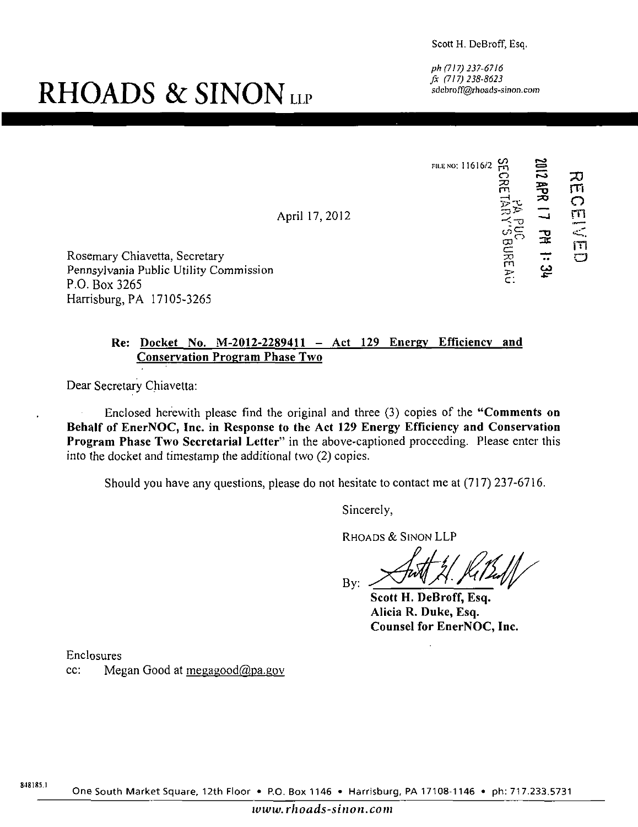Scott H. DeBroff, Esq.

ph (717) 237-6716  $f(x \mid 717)$  238-8623 sdebroff@rhoads-sinon.com

# **RHOADS & SINON LLP**

FILE NO: 11616/2 O TO m CO *cz*  TO  $\mathcal{F}$ c:  $\tilde{}$  $\mathbf{\bar{c}}$ "TJ <u>دے</u> **4r-**

^0 **m o** 

**rn** 

m<br>m

Rosemary Chiavetta, Secretary Pennsylvania Public Utility Commission P.O. Box 3265 Harrisburg, PA 17105-3265

### **Re: Docket No. M-2012-2289411 - Act 129 Energy Efficiency and Conservation Program Phase Two**

April 17,2012

Dear Secretary Chiavetta:

Enclosed herewith please find the original and three (3) copies of the "Comments on Behalf of EnerNOC, Inc. in Response to the Act 129 Energy Efficiency and Conservation Program Phase Two Secretarial Letter" in the above-captioned proceeding. Please enter this into the docket and timestamp the additional two (2) copies.

Should you have any questions, please do not hesitate to contact me at (717) 237-6716.

Sincerely,

RHOADS & SINON LLP

 $Bv:$ 

**Scott H. DeBroff, Esq. Alicia R. Duke, Esq. Counsel for EnerNOC, Inc.** 

Enclosures cc: Megan Good at megagood@pa.gov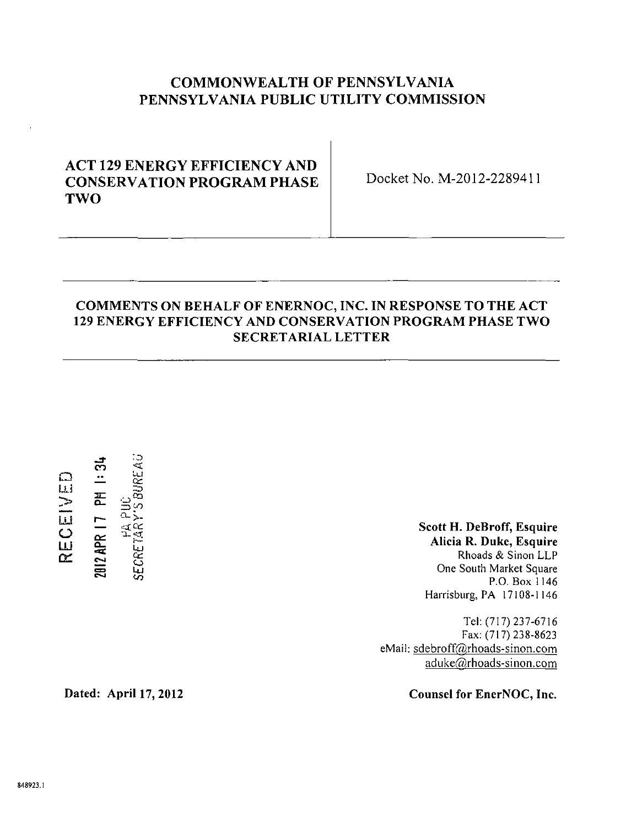# **COMMONWEALTH OF PENNSYLVANIA PENNSYLVANIA PUBLIC UTILITY COMMISSION**

# **ACT 129 ENERGY EFFICIENCY AND CONSERVATION PROGRAM PHASE TWO**

Docket No. M-2012-2289411

# **COMMENTS ON BEHALF OF ENERNOC, INC. IN RESPONSE TO THE ACT 129 ENERGY EFFICIENCY AND CONSERVATION PROGRAM PHASE TWO SECRETARIAL LETTER**

#### $\Box$ UJ > **iii o**   $\mathbf{m}$  $\mathbf{a}$ ے  $\frac{1}{2}$  $\leq$  .to LU SEC<br>S

**Scott H. DeBroff, Esquire Alicia R. Duke, Esquire**  Rhoads & Sinon LLP One South Market Square P.O. Box 1146 Harrisburg, PA 17108-1146

Tel: (717) 237-6716 Fax: (717) 238-8623 eMail: sdebroff@rhoads-sinon.com aduke@rhoads-sinon.com

Dated: April 17, 2012 Counsel for EnerNOC, Inc.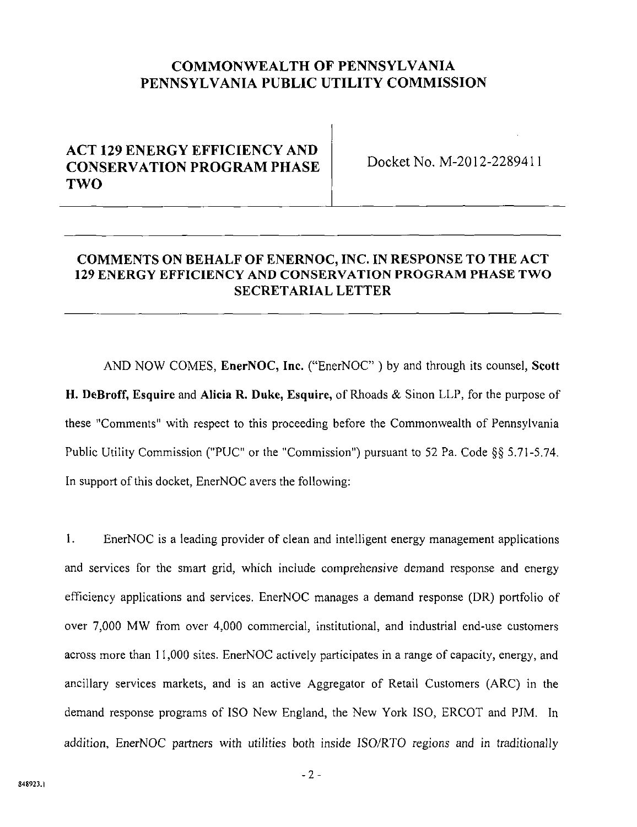# **COMMONWEALTH OF PENNSYLVANIA PENNSYLVANIA PUBLIC UTILITY COMMISSION**

# **A C T 129 ENERGY EFFICIENCY AND CONSERVATION PROGRAM PHASE T WO**

Docket No. M-2012-2289411

# **COMMENTS ON BEHALF OF ENERNOC, INC. IN RESPONSE TO THE ACT 129 ENERGY EFFICIENCY AND CONSERVATION PROGRAM PHASE TWO SECRETARIAL LETTER**

AND NOW COMES, EnerNOC, Inc. ("EnerNOC" ) by and through its counsel, Scott H. DeBroff, Esquire and Alicia R. Duke, Esquire, of Rhoads & Sinon LLP, for the purpose of these "Comments" with respect to this proceeding before the Commonwealth of Pennsylvania Public Utility Commission ("PUC" or the "Commission") pursuant to 52 Pa. Code §§ 5.71-5.74. In support of this docket, EnerNOC avers the following:

1. EnerNOC is a leading provider of clean and intelligent energy management applications and services for the smart grid, which include comprehensive demand response and energy efficiency applications and services. EnerNOC manages a demand response (DR) portfolio of over 7,000 MW from over 4,000 commercial, institutional, and industrial end-use customers across more than 11,000 sites. EnerNOC actively participates in a range of capacity, energy, and ancillary services markets, and is an active Aggregator of Retail Customers (ARC) in the demand response programs of ISO New England, the New York ISO, ERCOT and PJM. In addition, EnerNOC partners with utilities both inside ISO/RTO regions and in traditionally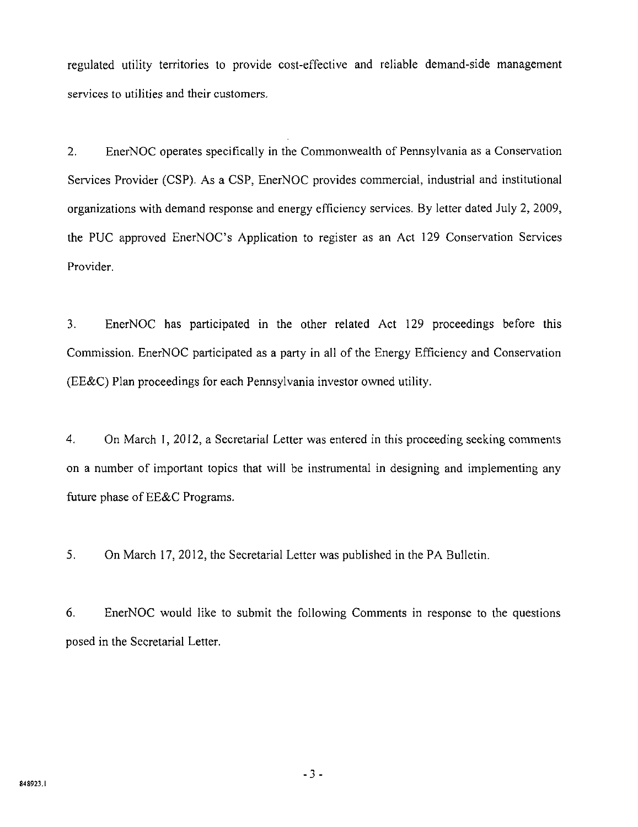regulated utility territories to provide cost-effective and reliable demand-side management services to utilities and their customers.

2. EnerNOC operates specifically in the Commonwealth of Pennsylvania as a Conservation Services Provider (CSP). As a CSP, EnerNOC provides commercial, industrial and institutional organizations with demand response and energy efficiency services. By letter dated July 2, 2009, the PUC approved EnerNOC's Application to register as an Act 129 Conservation Services Provider.

3. EnerNOC has participated in the other related Act 129 proceedings before this Commission. EnerNOC participated as a party in all of the Energy Efficiency and Conservation (EE&C) Plan proceedings for each Pennsylvania investor owned utility.

4. On March I, 2012, a Secretarial Letter was entered in this proceeding seeking comments on a number of important topics that will be instrumental in designing and implementing any future phase of EE&C Programs.

5. On March 17, 2012, the Secretarial Letter was published in the PA Bulletin.

6. EnerNOC would like to submit the following Comments in response to the questions posed in the Secretarial Letter.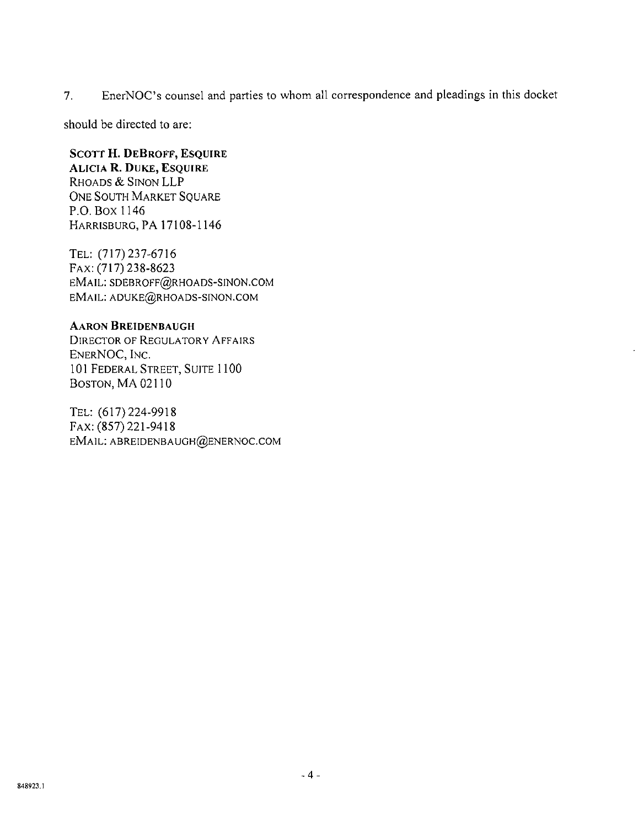7. EnerNOC's counsel and parties to whom all correspondence and pleadings in this docket

should be directed to are:

**SCOTT H. DEBROFF, ESQUIRE ALICIA R. DUKE, ESQUIRE**  RHOADS & SINON LLP ONE SOUTH MARKET SQUARE P.O. Box 1146 HARRISBURG, PA 17108-1146

TEL: (717)237-6716 FAX:(717)238-8623 EMAIL: SDEBROFF@RHOADS-SINON.COM EMAIL: ADUKE@RHOADS-SINON.COM

#### **AARON BREIDENBAUGH**

DIRECTOR OF REGULATORY AFFAIRS ENERNOC, INC. 101 FEDERAL STREET, SUITE 1100 BOSTON, MA 02110

TEL: (617)224-9918 FAX: (857) 221-9418 EMAIL: ABREIDENBAUGH@ENERNOC.COM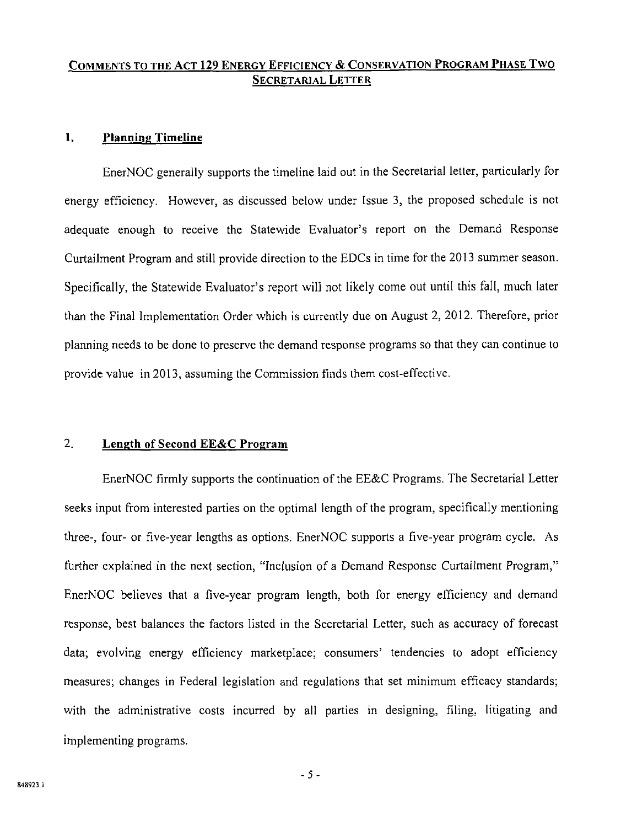## **COMMENTS TO THE ACT 129 ENERGY EFFICIENCY & CONSERVATION PROGRAM PHASE TWO SECRETARIAL LETTER**

#### **1, Planning Timeline**

EnerNOC generally supports the timeline laid out in the Secretarial letter, particularly for energy efficiency. However, as discussed below under Issue 3, the proposed schedule is not adequate enough to receive the Statewide Evaluator's report on the Demand Response Curtailment Program and still provide direction to the EDCs in time for the 2013 summer season. Specifically, the Statewide Evaluator's report will not likely come out until this fall, much later than the Final Implementation Order which is currently due on August 2, 2012. Therefore, prior planning needs to be done to preserve the demand response programs so that they can continue to provide value in 2013, assuming the Commission finds them cost-effective.

### **2. Length of Second EE&C Program**

EnerNOC firmly supports the continuation of the EE&C Programs. The Secretarial Letter seeks input from interested parties on the optimal length of the program, specifically mentioning three-, four- or five-year lengths as options. EnerNOC supports a five-year program cycle. As further explained in the next section, "Inclusion of a Demand Response Curtailment Program," EnerNOC believes that a five-year program length, both for energy efficiency and demand response, best balances the factors listed in the Secretarial Letter, such as accuracy of forecast data; evolving energy efficiency marketplace; consumers' tendencies to adopt efficiency measures; changes in Federal legislation and regulations that set minimum efficacy standards; with the administrative costs incurred by all parties in designing, filing, litigating and implementing programs.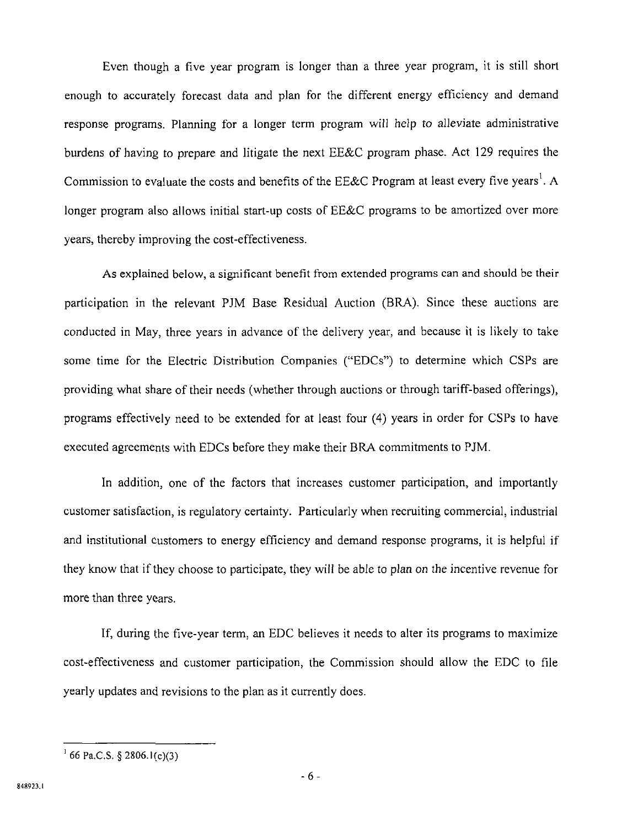Even though a five year program is longer than a three year program, it is still short enough to accurately forecast data and plan for the different energy efficiency and demand response programs. Planning for a longer term program will help to alleviate administrative burdens of having to prepare and litigate the next EE&C program phase. Act 129 requires the Commission to evaluate the costs and benefits of the EE&C Program at least every five years'. A longer program also allows initial start-up costs of EE&C programs to be amortized over more years, thereby improving the cost-effectiveness.

As explained below, a significant benefit from extended programs can and should be their participation in the relevant PJM Base Residual Auction (BRA). Since these auctions are conducted in May, three years in advance of the delivery year, and because it is likely to take some time for the Electric Distribution Companies ("EDCs") to determine which CSPs are providing what share of their needs (whether through auctions or through tariff-based offerings), programs effectively need to be extended for at least four (4) years in order for CSPs to have executed agreements with EDCs before they make their BRA commitments to PJM.

In addition, one of the factors that increases customer participation, and importantly customer satisfaction, is regulatory certainty. Particularly when recruiting commercial, industrial and institutional customers to energy efficiency and demand response programs, it is helpful if they know that if they choose to participate, they will be able to plan on the incentive revenue for more than three years.

If, during the five-year term, an EDC believes it needs to alter its programs to maximize cost-effectiveness and customer participation, the Commission should allow the EDC to file yearly updates and revisions to the plan as it currently does.

 $^{1}$  66 Pa.C.S. § 2806.1(c)(3)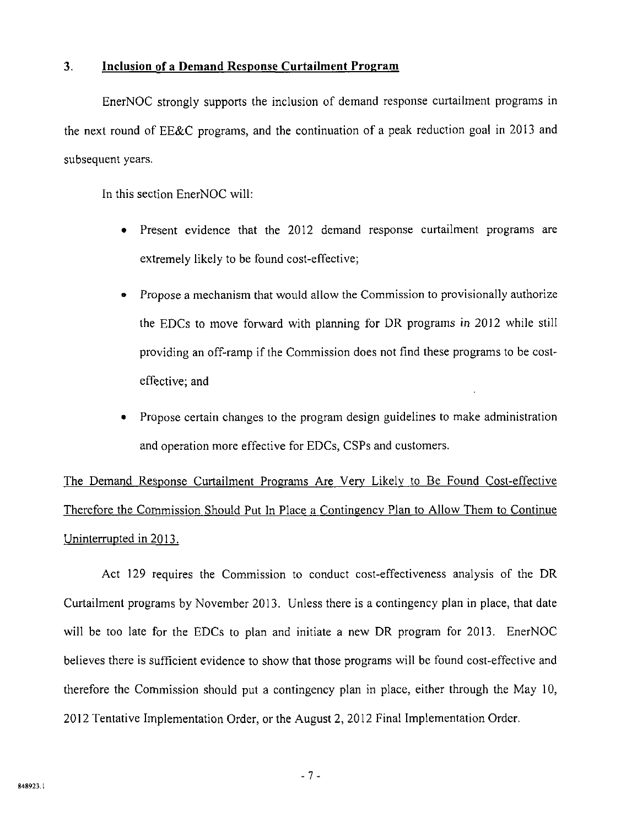#### **3. Inclusion of a Demand Response Curtailment Program**

EnerNOC strongly supports the inclusion of demand response curtailment programs in the next round of EE&C programs, and the continuation of a peak reduction goal in 2013 and subsequent years.

In this section EnerNOC will:

- Present evidence that the 2012 demand response curtailment programs are extremely likely to be found cost-effective;
- Propose a mechanism that would allow the Commission to provisionally authorize the EDCs to move forward with planning for DR programs in 2012 while still providing an off-ramp if the Commission does not find these programs to be costeffective; and
- Propose certain changes to the program design guidelines to make administration and operation more effective for EDCs, CSPs and customers.

The Demand Response Curtailment Programs Are Very Likely to Be Found Cost-effective Therefore the Commission Should Put In Place a Contingency Plan to Allow Them to Continue Uninterrupted in 2013.

Act 129 requires the Commission to conduct cost-effectiveness analysis of the DR Curtailment programs by November 2013. Unless there is a contingency plan in place, that date will be too late for the EDCs to plan and initiate a new DR program for 2013. EnerNOC believes there is sufficient evidence to show that those programs will be found cost-effective and therefore the Commission should put a contingency plan in place, either through the May 10, 2012 Tentative Implementation Order, or the August 2, 2012 Final Implementation Order.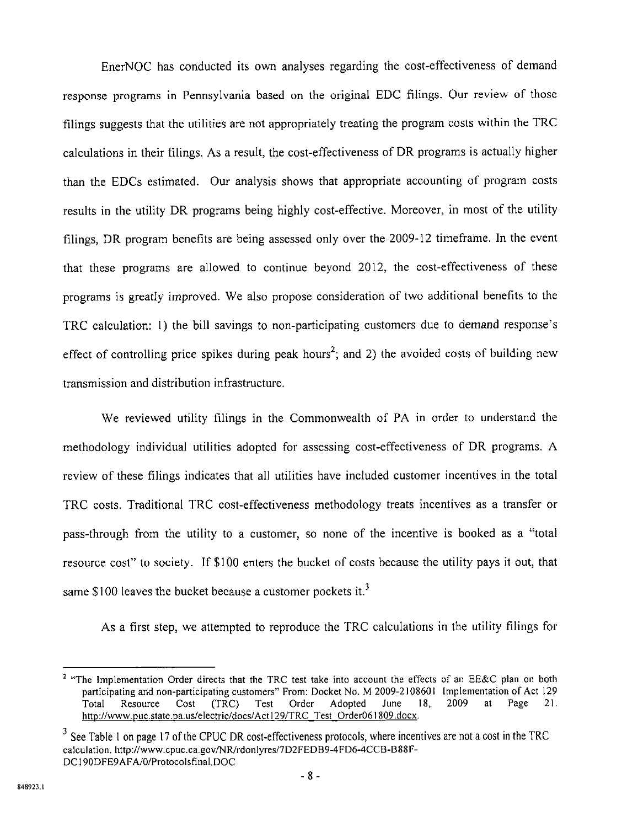EnerNOC has conducted its own analyses regarding the cost-effectiveness of demand response programs in Pennsylvania based on the original EDC filings. Our review of those filings suggests that the utilities are not appropriately treating the program costs within the TRC calculations in their filings. As a result, the cost-effectiveness of DR programs is actually higher than the EDCs estimated. Our analysis shows that appropriate accounting of program costs results in the utility DR programs being highly cost-effective. Moreover, in most of the utility filings, DR program benefits are being assessed only over the 2009-12 timeframe. In the event that these programs are allowed to continue beyond 2012, the cost-effectiveness of these programs is greatly improved. We also propose consideration of two additional benefits to the TRC calculation: 1) the bill savings to non-participating customers due to demand response's effect of controlling price spikes during peak hours<sup>2</sup>; and 2) the avoided costs of building new transmission and distribution infrastructure.

We reviewed utility filings in the Commonwealth of PA in order to understand the methodology individual utilities adopted for assessing cost-effectiveness of DR programs. A review of these filings indicates that all utilities have included customer incentives in the total TRC costs. Traditional TRC cost-effectiveness methodology treats incentives as a transfer or pass-through from the utility to a customer, so none of the incentive is booked as a "total resource cost" to society. If \$100 enters the bucket of costs because the utility pays it out, that same  $$100$  leaves the bucket because a customer pockets it.<sup>3</sup>

As a first step, we attempted to reproduce the TRC calculations in the utility filings for

<sup>&</sup>lt;sup>2</sup> "The Implementation Order directs that the TRC test take into account the effects of an EE&C plan on both participating and non-participating customers" From: Docket No. M 2009-2108601 Implementation of Act 129<br>Total Resource Cost (TRC) Test Order Adopted June 18, 2009 at Page 21. Total Resource Cost (TRC) Test Order Adopted June 18, 2009 at Page 21. http://www.puc.state.pa.us/electric/docs/Act129/TRC\_Test\_Order061809.docx.

 $3$  See Table 1 on page 17 of the CPUC DR cost-effectiveness protocols, where incentives are not a cost in the TRC calculation. http://www.cpuc.ca.gov/NR/rdoniyres/7D2FEDB9-4FD6-4CCB-B88F-DC190DFE9AFA/0/Protocolsfinal.DOC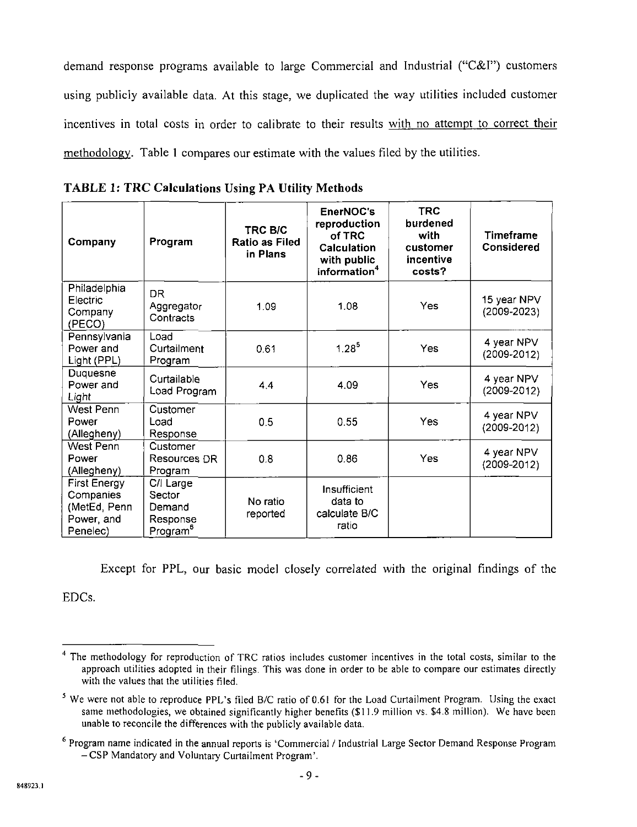demand response programs available to large Commercial and Industrial ("C&I") customers using publicly available data. At this stage, we duplicated the way utilities included customer incentives in total costs in order to calibrate to their results with no attempt to correct their methodology. Table 1 compares our estimate with the values filed by the utilities.

| Company                                                                    | Program                                                           | TRC B/C<br><b>Ratio as Filed</b><br>in Plans | EnerNOC's<br>reproduction<br>of TRC<br><b>Calculation</b><br>with public<br>information <sup>4</sup> | <b>TRC</b><br>burdened<br>with<br>customer<br>incentive<br>costs? | <b>Timeframe</b><br>Considered |
|----------------------------------------------------------------------------|-------------------------------------------------------------------|----------------------------------------------|------------------------------------------------------------------------------------------------------|-------------------------------------------------------------------|--------------------------------|
| Philadelphia<br>Electric<br>Company<br>(PECO)                              | DR.<br>Aggregator<br>Contracts                                    | 1.09                                         | 1.08                                                                                                 | Yes                                                               | 15 year NPV<br>$(2009 - 2023)$ |
| Pennsylvania<br>Power and<br>Light (PPL)                                   | Load<br>Curtailment<br>Program                                    | 0.61                                         | $1.28^{5}$                                                                                           | Yes                                                               | 4 year NPV<br>$(2009 - 2012)$  |
| Duguesne<br>Power and<br>Light                                             | Curtailable<br>Load Program                                       | 4,4                                          | 4.09                                                                                                 | Yes                                                               | 4 year NPV<br>$(2009 - 2012)$  |
| West Penn<br>Power<br>(Allegheny)                                          | Customer<br>Load<br>Response                                      | 0.5                                          | 0.55                                                                                                 | Yes                                                               | 4 year NPV<br>$(2009 - 2012)$  |
| West Penn<br>Power<br>(Allegheny)                                          | Customer<br>Resources DR<br>Program                               | 0.8                                          | 0.86                                                                                                 | Yes                                                               | 4 year NPV<br>$(2009 - 2012)$  |
| <b>First Energy</b><br>Companies<br>(MetEd, Penn<br>Power, and<br>Penelec) | C/I Large<br>Sector<br>Demand<br>Response<br>Program <sup>6</sup> | No ratio<br>reported                         | Insufficient<br>data to<br>calculate B/C<br>ratio                                                    |                                                                   |                                |

**TABLE 1: TRC Calculations Using PA Utility Methods** 

Except for PPL, our basic model closely correlated with the original findings of the

EDCs.

<sup>&</sup>lt;sup>4</sup> The methodology for reproduction of TRC ratios includes customer incentives in the total costs, similar to the approach utilities adopted in their filings. This was done in order to be able to compare our estimates directly with the values that the utilities filed.

<sup>&</sup>lt;sup>5</sup> We were not able to reproduce PPL's filed B/C ratio of 0.61 for the Load Curtailment Program. Using the exact same methodologies, we obtained significantly higher benefits (\$11.9 million vs. \$4.8 million). We have been unable to reconcile the differences with the publicly available data.

<sup>6</sup> Program name indicated in the annual reports is 'Commercial / Industrial Large Sector Demand Response Program -CSP Mandatory and Voluntary Curtailment Program'.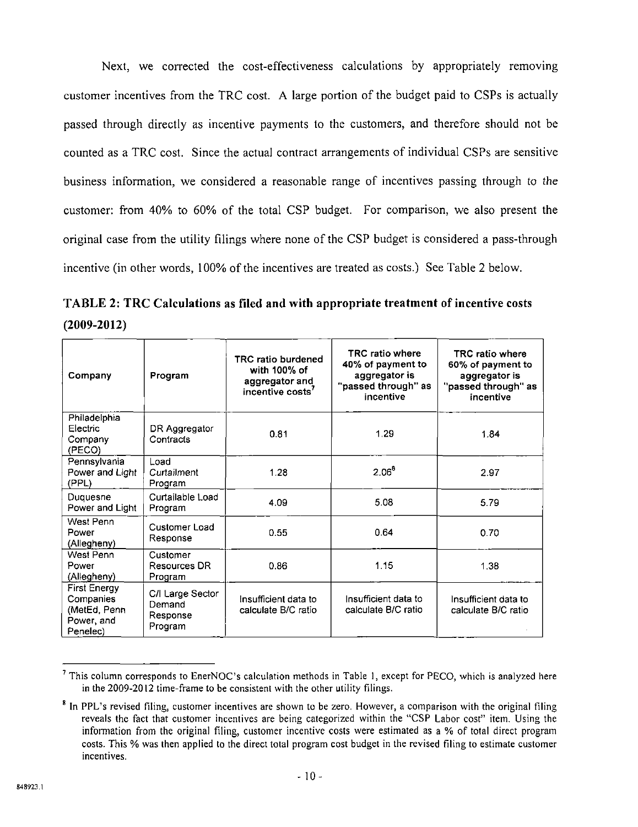Next, we corrected the cost-effectiveness calculations by appropriately removing customer incentives from the TRC cost. A large portion of the budget paid to CSPs is actually passed through directly as incentive payments to the customers, and therefore should not be counted as a TRC cost. Since the actual contract arrangements of individual CSPs are sensitive business information, we considered a reasonable range of incentives passing through to the customer: from 40% to 60% of the total CSP budget. For comparison, we also present the original case from the utility filings where none of the CSP budget is considered a pass-through incentive (in other words, 100% of the incentives are treated as costs.) See Table 2 below.

| TABLE 2: TRC Calculations as filed and with appropriate treatment of incentive costs |  |
|--------------------------------------------------------------------------------------|--|
| $(2009 - 2012)$                                                                      |  |

| Company                                                                    | Program                                           | TRC ratio burdened<br>with 100% of<br>aggregator and<br>incentive costs' | <b>TRC</b> ratio where<br>40% of payment to<br>aggregator is<br>"passed through" as<br>incentive | TRC ratio where<br>60% of payment to<br>aggregator is<br>"passed through" as<br>incentive |
|----------------------------------------------------------------------------|---------------------------------------------------|--------------------------------------------------------------------------|--------------------------------------------------------------------------------------------------|-------------------------------------------------------------------------------------------|
| Philadelphia<br>Electric<br>Company<br>(PECO)                              | DR Aggregator<br>Contracts                        | 0.81                                                                     | 1.29                                                                                             | 1.84                                                                                      |
| Pennsylvania<br>Power and Light<br>(PPL)                                   | Load<br>Curtailment<br>Program                    | 1.28                                                                     | $2.06^{8}$                                                                                       | 2.97                                                                                      |
| Duquesne<br>Power and Light                                                | Curtailable Load<br>Program                       | 4.09                                                                     | 5.08                                                                                             | 5.79                                                                                      |
| West Penn<br>Power<br>(Allegheny)                                          | <b>Customer Load</b><br>Response                  | 0.55                                                                     | 0.64                                                                                             | 0.70                                                                                      |
| West Penn<br>Power<br>(Allegheny)                                          | Customer<br>Resources DR<br>Program               | 0.86                                                                     | 1.15                                                                                             | 1.38                                                                                      |
| <b>First Energy</b><br>Companies<br>(MetEd, Penn<br>Power, and<br>Penelec) | C/I Large Sector<br>Demand<br>Response<br>Program | Insufficient data to<br>calculate B/C ratio                              | Insufficient data to<br>calculate B/C ratio                                                      | Insufficient data to<br>calculate B/C ratio                                               |

<sup>&</sup>lt;sup>7</sup> This column corresponds to EnerNOC's calculation methods in Table 1, except for PECO, which is analyzed here in the 2009-2012 time-frame to be consistent with the other utility filings.

<sup>&</sup>lt;sup>8</sup> In PPL's revised filing, customer incentives are shown to be zero. However, a comparison with the original filing reveals the fact that customer incentives are being categorized within the "CSP Labor cost" item. Using the information from the original filing, customer incentive costs were estimated as a % of total direct program costs. This % was then applied to the direct total program cost budget in the revised filing to estimate customer incentives.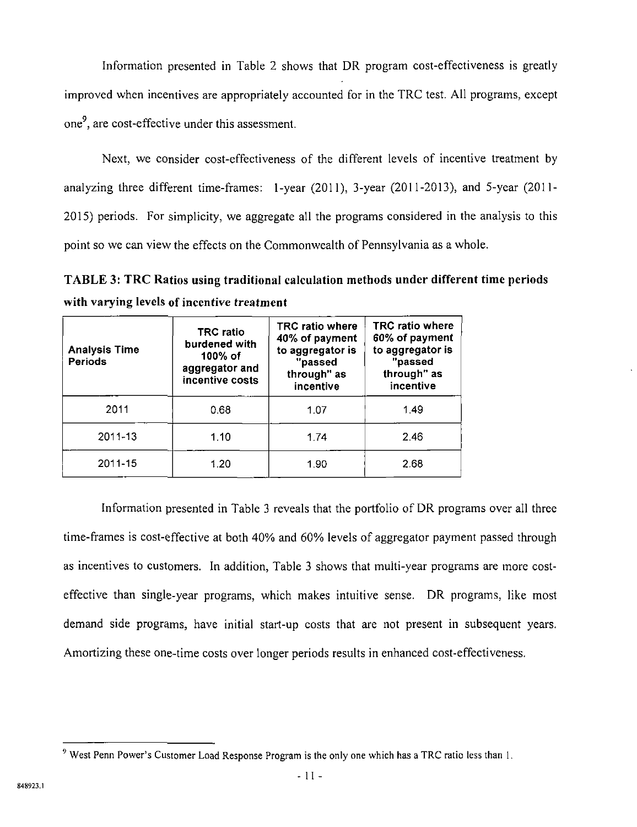Information presented in Table 2 shows that DR program cost-effectiveness is greatly improved when incentives are appropriately accounted for in the TRC test. All programs, except one<sup>9</sup>, are cost-effective under this assessment.

Next, we consider cost-effectiveness of the different levels of incentive treatment by analyzing three different time-frames: 1-year (2011), 3-year (2011-2013), and 5-year (2011- 2015) periods. For simplicity, we aggregate all the programs considered in the analysis to this point so we can view the effects on the Commonwealth of Pennsylvania as a whole.

**TABLE 3: TRC Ratios using traditional calculation methods under different time periods with varying levels of incentive treatment** 

| <b>Analysis Time</b><br><b>Periods</b> | <b>TRC ratio</b><br>burdened with<br>$100\%$ of<br>aggregator and<br>incentive costs | <b>TRC ratio where</b><br>40% of payment<br>to aggregator is<br>"passed<br>through" as<br>incentive | <b>TRC ratio where</b><br>60% of payment<br>to aggregator is<br>"passed<br>through" as<br>incentive |
|----------------------------------------|--------------------------------------------------------------------------------------|-----------------------------------------------------------------------------------------------------|-----------------------------------------------------------------------------------------------------|
| 2011                                   | 0.68                                                                                 | 1.07                                                                                                | 1.49                                                                                                |
| $2011 - 13$                            | 1.10                                                                                 | 1.74                                                                                                | 2.46                                                                                                |
| 2011-15                                | 1.20                                                                                 | 1.90                                                                                                | 2.68                                                                                                |

Information presented in Table 3 reveals that the portfolio of DR programs over all three time-frames is cost-effective at both 40% and 60% levels of aggregator payment passed through as incentives to customers. In addition, Table 3 shows that multi-year programs are more costeffective than single-year programs, which makes intuitive sense. DR programs, like most demand side programs, have initial start-up costs that are not present in subsequent years. Amortizing these one-time costs over longer periods results in enhanced cost-effectiveness.

 $\overline{\text{W}}$  West Penn Power's Customer Load Response Program is the only one which has a TRC ratio less than 1.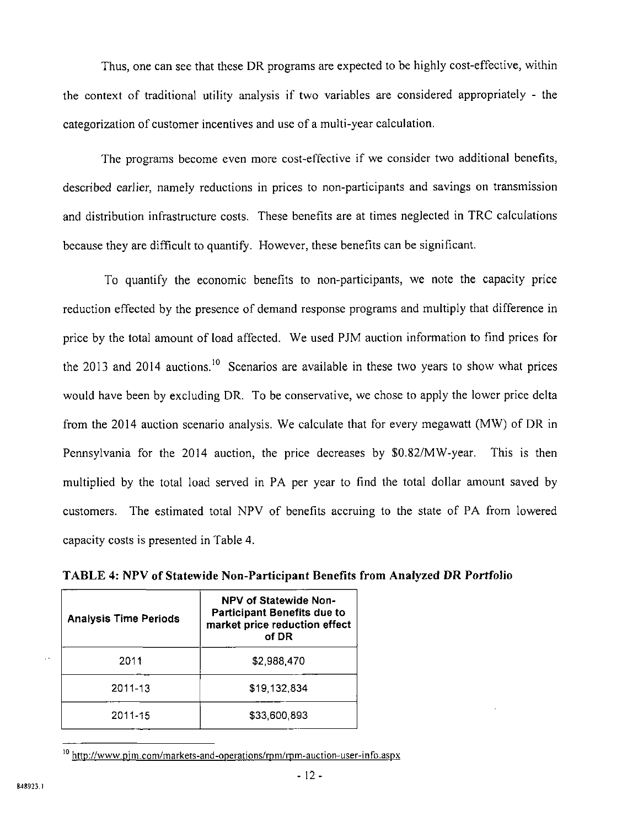Thus, one can see that these DR programs are expected to be highly cost-effective, within the context of traditional utility analysis if two variables are considered appropriately - the categorization of customer incentives and use of a multi-year calculation.

The programs become even more cost-effective if we consider two additional benefits, described earlier, namely reductions in prices to non-participants and savings on transmission and distribution infrastructure costs. These benefits are at times neglected in TRC calculations because they are difficult to quantify. However, these benefits can be significant.

To quantify the economic benefits to non-participants, we note the capacity price reduction effected by the presence of demand response programs and multiply that difference in price by the total amount of load affected. We used PJM auction information to find prices for the 2013 and 2014 auctions.<sup>10</sup> Scenarios are available in these two years to show what prices would have been by excluding DR. To be conservative, we chose to apply the lower price delta from the 2014 auction scenario analysis. We calculate that for every megawatt (MW) of DR in Pennsylvania for the 2014 auction, the price decreases by \$0.82/MW-year. This is then multiplied by the total load served in PA per year to find the total dollar amount saved by customers. The estimated total NPV of benefits accruing to the state of PA from lowered capacity costs is presented in Table 4.

| TABLE 4: NPV of Statewide Non-Participant Benefits from Analyzed DR Portfolio |  |
|-------------------------------------------------------------------------------|--|
|-------------------------------------------------------------------------------|--|

| <b>Analysis Time Periods</b> | <b>NPV of Statewide Non-</b><br><b>Participant Benefits due to</b><br>market price reduction effect<br>of DR |
|------------------------------|--------------------------------------------------------------------------------------------------------------|
| 2011                         | \$2,988,470                                                                                                  |
| 2011-13                      | \$19,132,834                                                                                                 |
| 2011-15                      | \$33,600,893                                                                                                 |

<sup>&</sup>lt;sup>10</sup> http://www.pjin.com/markets-and-operations/rpm/rpm-auction-user-info.aspx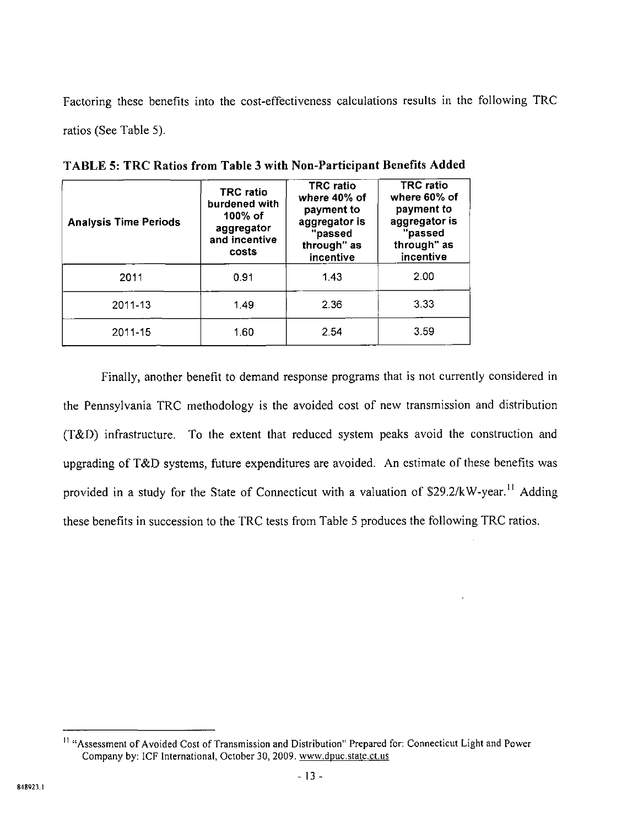Factoring these benefits into the cost-effectiveness calculations results in the following TRC ratios (See Table 5).

| <b>Analysis Time Periods</b> | <b>TRC ratio</b><br>burdened with<br>$100\%$ of<br>aggregator<br>and incentive<br>costs | <b>TRC ratio</b><br>where 40% of<br>payment to<br>aggregator is<br>"passed<br>through" as<br>incentive | <b>TRC</b> ratio<br>where 60% of<br>payment to<br>aggregator is<br>"passed<br>through" as<br>incentive |
|------------------------------|-----------------------------------------------------------------------------------------|--------------------------------------------------------------------------------------------------------|--------------------------------------------------------------------------------------------------------|
| 2011                         | 0.91                                                                                    | 143                                                                                                    | 2.00                                                                                                   |
| 2011-13                      | 1.49                                                                                    | 2.36                                                                                                   | 3.33                                                                                                   |
| 2011-15                      | 1.60                                                                                    | 2.54                                                                                                   | 3.59                                                                                                   |

**TABLE 5: TRC Ratios from Table 3 with Non-Participant Benefits Added** 

Finally, another benefit to demand response programs that is not currently considered in the Pennsylvania TRC methodology is the avoided cost of new transmission and distribution (T&D) infrastructure. To the extent that reduced system peaks avoid the construction and upgrading of T&D systems, future expenditures are avoided. An estimate of these benefits was provided in a study for the State of Connecticut with a valuation of \$29.2/kW-year.<sup>11</sup> Adding these benefits in succession to the TRC tests from Table 5 produces the following TRC ratios.

<sup>&</sup>lt;sup>11</sup> "Assessment of Avoided Cost of Transmission and Distribution" Prepared for: Connecticut Light and Power Company by: ICF International, October 30, 2009. www.dpuc.state.ct.us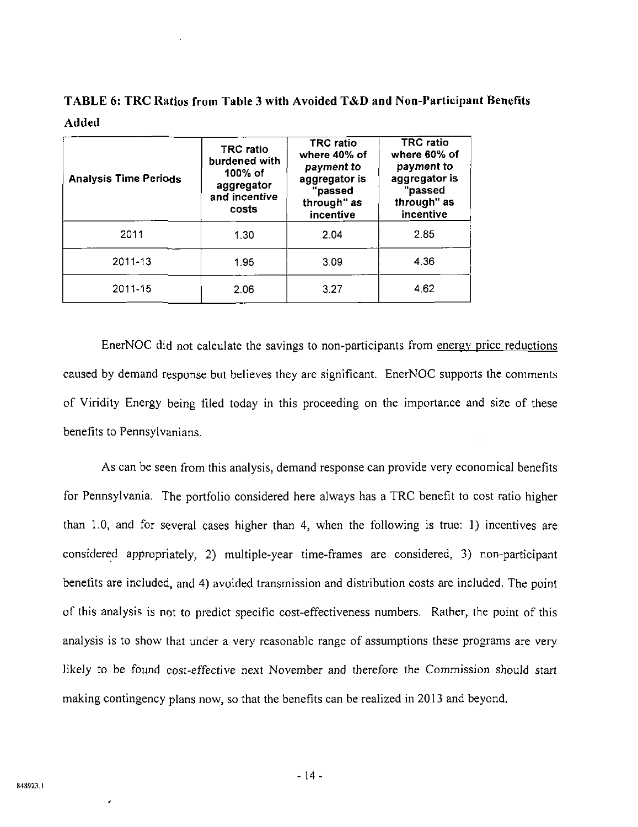**TABLE 6: TRC Ratios from Table 3 with Avoided T&D and Non-Participant Benefits Added** 

| <b>Analysis Time Periods</b> | <b>TRC</b> ratio<br>burdened with<br>100% of<br>aggregator<br>and incentive<br>costs | <b>TRC</b> ratio<br>where 40% of<br>payment to<br>aggregator is<br>"passed<br>through" as<br>incentive | <b>TRC</b> ratio<br>where 60% of<br>payment to<br>aggregator is<br>"passed<br>through" as<br>incentive |
|------------------------------|--------------------------------------------------------------------------------------|--------------------------------------------------------------------------------------------------------|--------------------------------------------------------------------------------------------------------|
| 2011                         | 1.30                                                                                 | 2.04                                                                                                   | 2.85                                                                                                   |
| 2011-13                      | 1.95                                                                                 | 3.09                                                                                                   | 4.36                                                                                                   |
| 2011-15                      | 2.06                                                                                 | 3.27                                                                                                   | 4.62                                                                                                   |

EnerNOC did not calculate the savings to non-participants from energy price reductions caused by demand response but believes they are significant. EnerNOC supports the comments of Viridity Energy being filed today in this proceeding on the importance and size of these benefits to Pennsylvanians.

As can be seen from this analysis, demand response can provide very economical benefits for Pennsylvania. The portfolio considered here always has a TRC benefit to cost ratio higher than 1.0, and for several cases higher than 4, when the following is true: 1) incentives are considered appropriately, 2) multiple-year time-frames are considered, 3) non-participant benefits are included, and 4) avoided transmission and distribution costs are included. The point of this analysis is not to predict specific cost-effectiveness numbers. Rather, the point of this analysis is to show that under a very reasonable range of assumptions these programs are very likely to be found cost-effective next November and therefore the Commission should start making contingency plans now, so that the benefits can be realized in 2013 and beyond.

z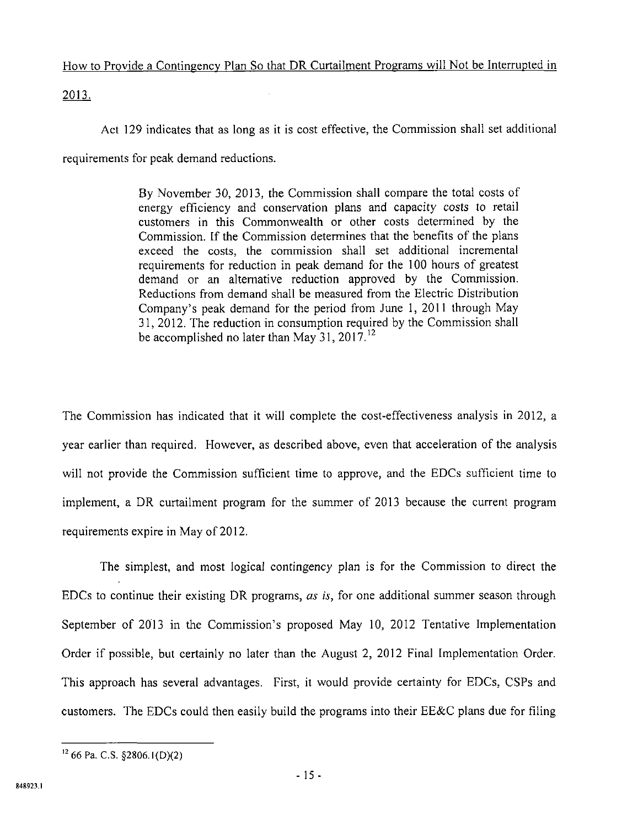# How to Provide a Contingency Plan So that DR Curtailment Programs will Not be Interrupted in

2013.

Act 129 indicates that as long as it is cost effective, the Commission shall set additional requirements for peak demand reductions.

> By November 30, 2013, the Commission shall compare the total costs of energy efficiency and conservation plans and capacity costs to retail customers in this Commonwealth or other costs determined by the Commission. If the Commission determines that the benefits of the plans exceed the costs, the commission shall set additional incremental requirements for reduction in peak demand for the 100 hours of greatest demand or an alternative reduction approved by the Commission. Reductions from demand shall be measured from the Electric Distribution Company's peak demand for the period from June 1, 2011 through May 31, 2012. The reduction in consumption required by the Commission shall be accomplished no later than May  $31, 2017$ .<sup>12</sup>

The Commission has indicated that it will complete the cost-effectiveness analysis in 2012, a year earlier than required. However, as described above, even that acceleration of the analysis will not provide the Commission sufficient time to approve, and the EDCs sufficient time to implement, a DR curtailment program for the summer of 2013 because the current program requirements expire in May of 2012.

The simplest, and most logical contingency plan is for the Commission to direct the EDCs to continue their existing DR programs, as is, for one additional summer season through September of 2013 in the Commission's proposed May 10, 2012 Tentative Implementation Order if possible, but certainly no later than the August 2, 2012 Final Implementation Order. This approach has several advantages. First, it would provide certainty for EDCs, CSPs and customers. The EDCs could then easily build the programs into their  $EExC$  plans due for filing

 $12$  66 Pa. C.S.  $\S 2806.1(D)(2)$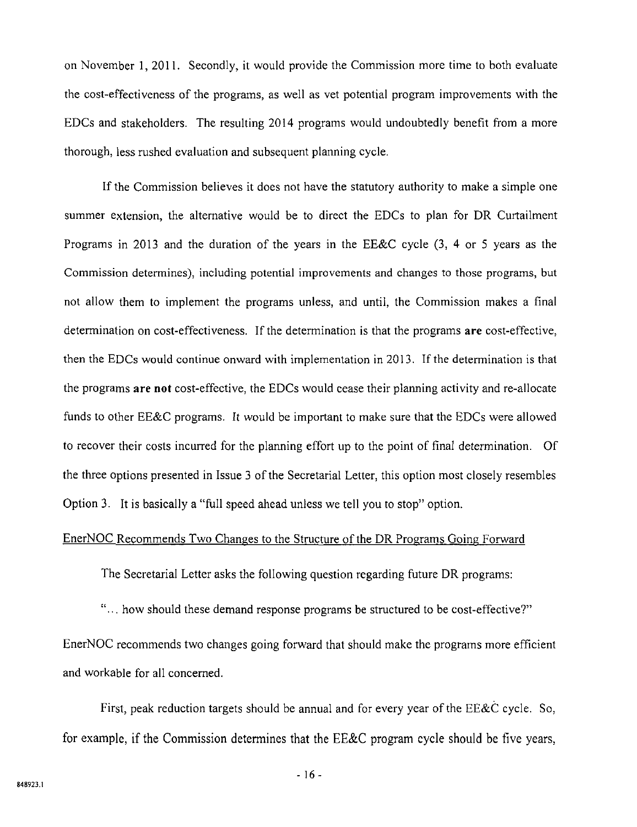on November 1, 2011. Secondly, it would provide the Commission more time to both evaluate the cost-effectiveness of the programs, as well as vet potential program improvements with the EDCs and stakeholders. The resulting 2014 programs would undoubtedly benefit from a more thorough, less rushed evaluation and subsequent planning cycle.

If the Commission believes it does not have the statutory authority to make a simple one summer extension, the alternative would be to direct the EDCs to plan for DR Curtailment Programs in 2013 and the duration of the years in the EE&C cycle (3, 4 or 5 years as the Commission determines), including potential improvements and changes to those programs, but not allow them to implement the programs unless, and until, the Commission makes a final determination on cost-effectiveness. If the determination is that the programs are cost-effective, then the EDCs would continue onward with implementation in 2013. If the determination is that the programs are not cost-effective, the EDCs would cease their planning activity and re-allocate funds to other EE&C programs. It would be important to make sure that the EDCs were allowed to recover their costs incurred for the planning effort up to the point of final determination. Of the three options presented in Issue 3 of the Secretarial Letter, this option most closely resembles Option 3. It is basically a "full speed ahead unless we tell you to stop" option.

#### EnerNOC Recommends Two Changes to the Structure of the DR Programs Going Forward

The Secretarial Letter asks the following question regarding future DR programs:

"... how should these demand response programs be structured to be cost-effective?" EnerNOC recommends two changes going forward that should make the programs more efficient

First, peak reduction targets should be annual and for every year of the EE&C cycle. So, for example, if the Commission determines that the EE&C program cycle should be five years,

and workable for all concerned.

-16-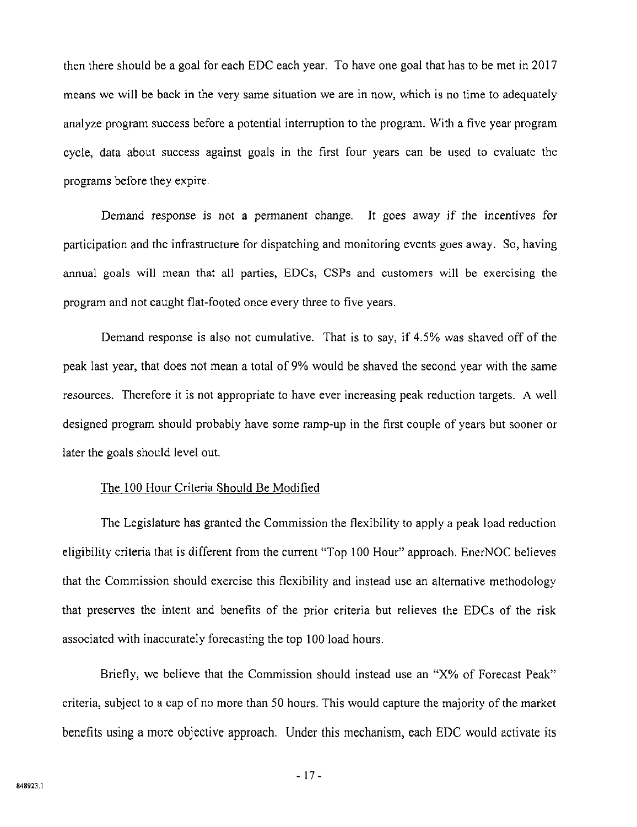then there should be a goal for each EDC each year. To have one goal that has to be met in 2017 means we will be back in the very same situation we are in now, which is no time to adequately analyze program success before a potential interruption to the program. With a five year program cycle, data about success against goals in the first four years can be used to evaluate the programs before they expire.

Demand response is not a permanent change. It goes away if the incentives for participation and the infrastructure for dispatching and monitoring events goes away. So, having annual goals will mean that all parties, EDCs, CSPs and customers will be exercising the program and not caught flat-footed once every three to five years.

Demand response is also not cumulative. That is to say, if 4.5% was shaved off of the peak last year, that does not mean a total of 9% would be shaved the second year with the same resources. Therefore it is not appropriate to have ever increasing peak reduction targets. A well designed program should probably have some ramp-up in the first couple of years but sooner or later the goals should level out.

#### The 100 Hour Criteria Should Be Modified

The Legislature has granted the Commission the flexibility to apply a peak load reduction eligibility criteria that is different from the current "Top 100 Hour" approach. EnerNOC believes that the Commission should exercise this flexibility and instead use an alternative methodology that preserves the intent and benefits of the prior criteria but relieves the EDCs of the risk associated with inaccurately forecasting the top 100 load hours.

Briefly, we believe that the Commission should instead use an "X% of Forecast Peak" criteria, subject to a cap of no more than 50 hours. This would capture the majority of the market benefits using a more objective approach. Under this mechanism, each EDC would activate its

-17-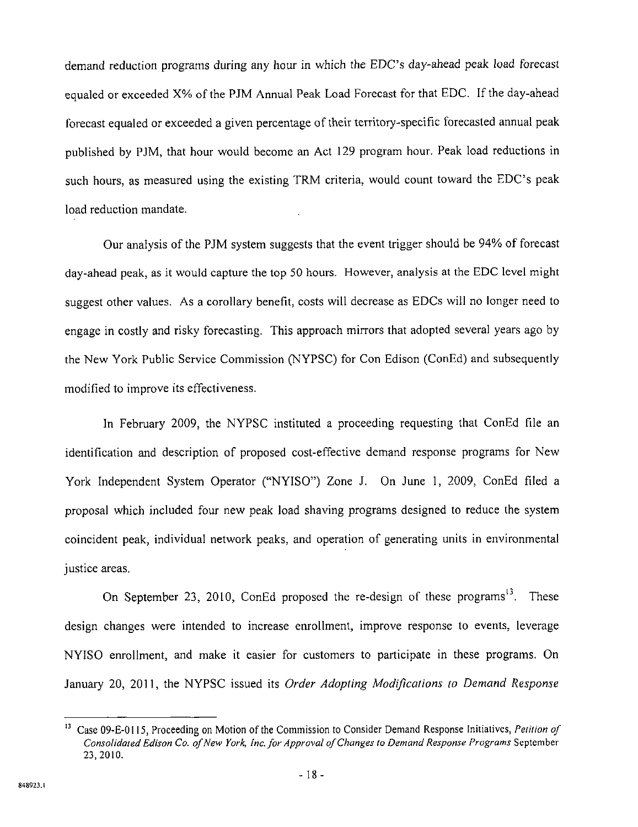demand reduction programs during any hour in which the EDC's day-ahead peak load forecast equaled or exceeded X% of the PJM Annual Peak Load Forecast for that EDC. If the day-ahead forecast equaled or exceeded a given percentage of their territory-specific forecasted annual peak published by PJM, that hour would become an Act 129 program hour. Peak load reductions in such hours, as measured using the existing TRM criteria, would count toward the EDC's peak load reduction mandate.

Our analysis of the PJM system suggests that the event trigger should be 94% of forecast day-ahead peak, as it would capture the top 50 hours. However, analysis at the EDC level might suggest other values. As a corollary benefit, costs will decrease as EDCs will no longer need to engage in costly and risky forecasting. This approach mirrors that adopted several years ago by the New York Public Service Commission (NYPSC) for Con Edison (ConEd) and subsequently modified to improve its effectiveness.

In February 2009, the NYPSC instituted a proceeding requesting that ConEd file an identification and description of proposed cost-effective demand response programs for New York Independent System Operator ("NYISO") Zone J. On June 1, 2009, ConEd filed a proposal which included four new peak load shaving programs designed to reduce the system coincident peak, individual network peaks, and operation of generating units in environmental justice areas.

*On September 23, 2010, ConEd proposed the re-design of these programs 13 . These design changes were intended to increase enrollment, improve response to events, leverage NYISO enrollment, and make it easier for customers to participate in these programs. On January 20, 2011, the NYPSC issued its Order Adopting Modifications to Demand Response* 

<sup>13</sup> Case 09-E-0115, Proceeding on Motion of the Commission to Consider Demand Response Initiatives, Petition of Consolidated Edison Co. of New York, Inc. for Approval of Changes to Demand Response Programs September 23,2010.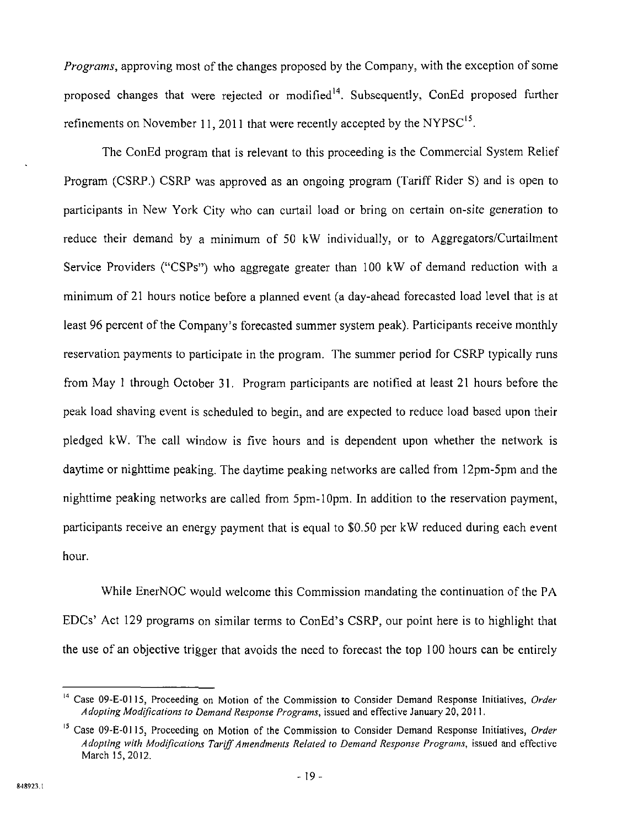Programs, approving most of the changes proposed by the Company, with the exception of some proposed changes that were rejected or modified<sup>14</sup>. Subsequently, ConEd proposed further refinements on November 11, 2011 that were recently accepted by the NYPSC<sup>15</sup>.

The ConEd program that is relevant to this proceeding is the Commercial System Relief Program (CSRP.) CSRP was approved as an ongoing program (Tariff Rider S) and is open to participants in New York City who can curtail load or bring on certain on-site generation to reduce their demand by a minimum of 50 kW individually, or to Aggregators/Curtailment Service Providers ("CSPs") who aggregate greater than 100 kW of demand reduction with a minimum of 21 hours notice before a planned event (a day-ahead forecasted load level that is at least 96 percent of the Company's forecasted summer system peak). Participants receive monthly reservation payments to participate in the program. The summer period for CSRP typically runs from May 1 through October 31. Program participants are notified at least 21 hours before the peak load shaving event is scheduled to begin, and are expected to reduce load based upon their pledged kW. The call window is five hours and is dependent upon whether the network is daytime or nighttime peaking. The daytime peaking networks are called from 12pm-5pm and the nighttime peaking networks are called from 5pm-10pm. In addition to the reservation payment, participants receive an energy payment that is equal to \$0.50 per kW reduced during each event hour.

While EnerNOC would welcome this Commission mandating the continuation of the PA EDCs' Act 129 programs on similar terms to ConEd's CSRP, our point here is to highlight that the use of an objective trigger that avoids the need to forecast the top 100 hours can be entirely

*<sup>14</sup> Case 09-E-0115, Proceeding on Motion of the Commission to Consider Demand Response Initiatives, Order*  A dopting Modifications to Demand Response Programs, issued and effective January 20, 2011.

<sup>&</sup>lt;sup>15</sup> Case 09-E-0115, Proceeding on Motion of the Commission to Consider Demand Response Initiatives, Order Adopting with Modifications Tariff Amendments Related to Demand Response Programs, issued and effective March 15,2012.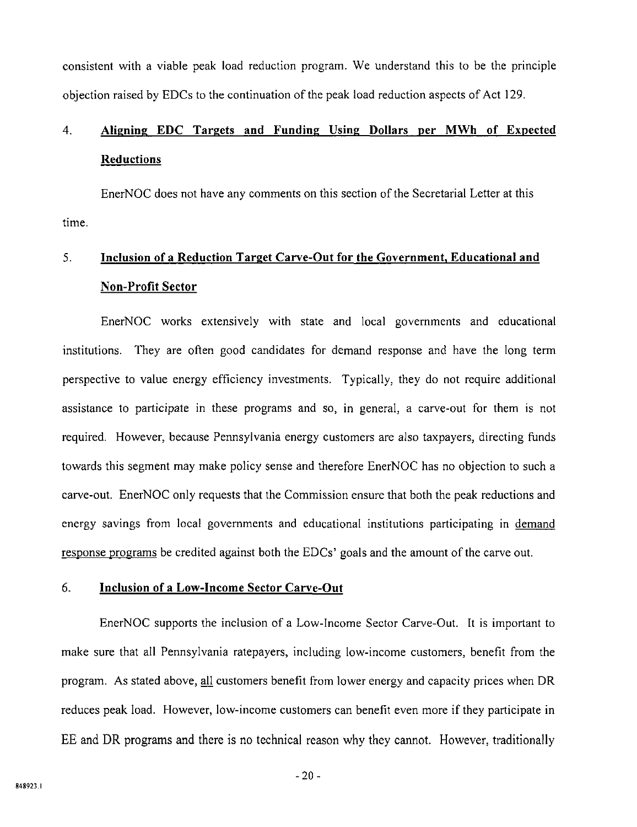consistent with a viable peak load reduction program. We understand this to be the principle objection raised by EDCs to the continuation of the peak load reduction aspects of Act 129.

# **4. Aligning EDC Targets and Funding Using Dollars per MWh of Expected Reductions**

EnerNOC does not have any comments on this section of the Secretarial Letter at this time.

# **5. Inclusion of a Reduction Target Carve-Out for the Government, Educational and Non-Profit Sector**

EnerNOC works extensively with state and local governments and educational institutions. They are often good candidates for demand response and have the long term perspective to value energy efficiency investments. Typically, they do not require additional assistance to participate in these programs and so, in general, a carve-out for them is not required. However, because Pennsylvania energy customers are also taxpayers, directing funds towards this segment may make policy sense and therefore EnerNOC has no objection to such a carve-out. EnerNOC only requests that the Commission ensure that both the peak reductions and energy savings from local governments and educational institutions participating in demand response programs be credited against both the EDCs' goals and the amount of the carve out.

#### **6. Inclusion of a Low-Income Sector Carve-Out**

EnerNOC supports the inclusion of a Low-Income Sector Carve-Out. It is important to make sure that all Pennsylvania ratepayers, including low-income customers, benefit from the program. As stated above, all customers benefit from lower energy and capacity prices when DR reduces peak load. However, low-income customers can benefit even more if they participate in EE and DR programs and there is no technical reason why they cannot. However, traditionally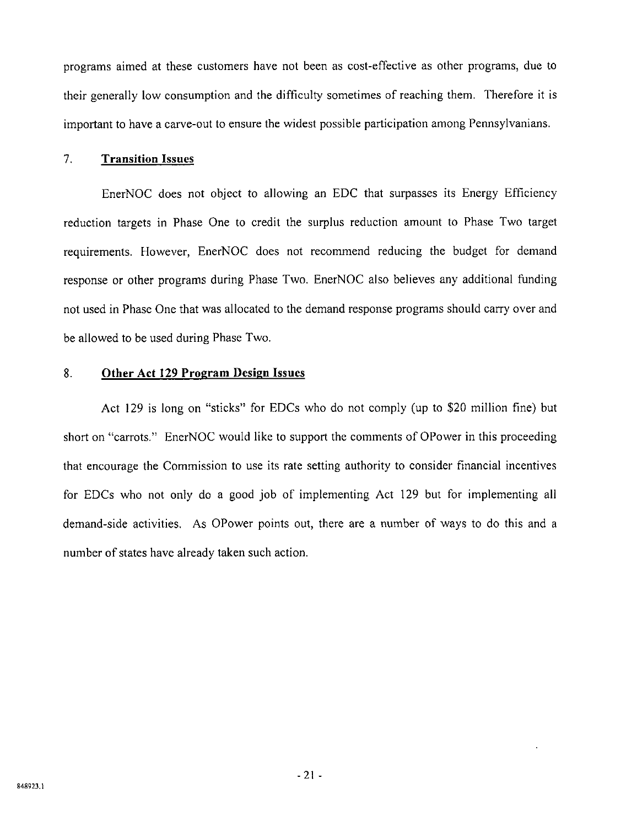programs aimed at these customers have not been as cost-effective as other programs, due to their generally low consumption and the difficulty sometimes of reaching them. Therefore it is important to have a carve-out to ensure the widest possible participation among Pennsylvanians.

#### **7. Transition Issues**

EnerNOC does not object to allowing an EDC that surpasses its Energy Efficiency reduction targets in Phase One to credit the surplus reduction amount to Phase Two target requirements. However, EnerNOC does not recommend reducing the budget for demand response or other programs during Phase Two. EnerNOC also believes any additional funding not used in Phase One that was allocated to the demand response programs should carry over and be allowed to be used during Phase Two.

#### **8. Other Act 129 Program Design Issues**

Act 129 is long on "sticks" for EDCs who do not comply (up to \$20 million fine) but short on "carrots." EnerNOC would like to support the comments of OPower in this proceeding that encourage the Commission to use its rate setting authority to consider financial incentives for EDCs who not only do a good job of implementing Act 129 but for implementing all demand-side activities. As OPower points out, there are a number of ways to do this and a number of states have already taken such action.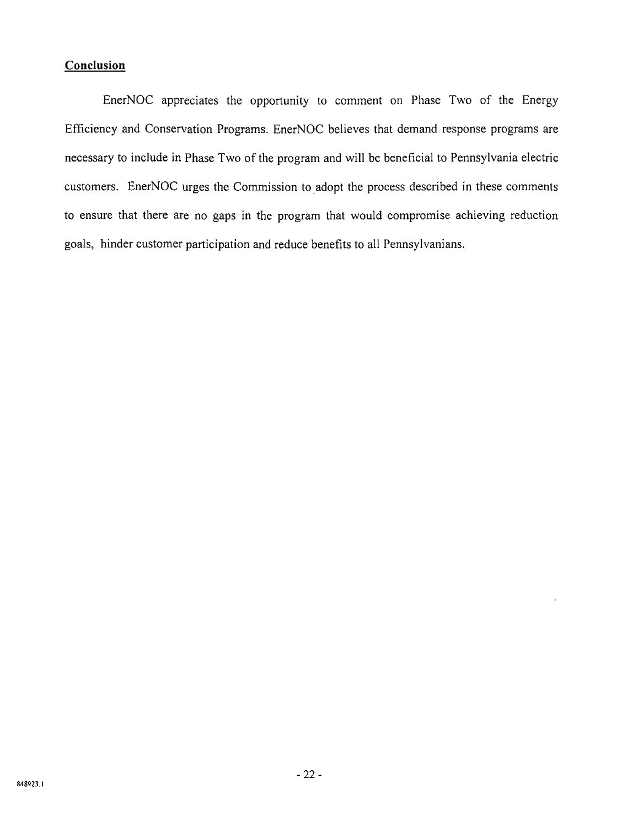#### **Conclusion**

EnerNOC appreciates the opportunity to comment on Phase Two of the Energy Efficiency and Conservation Programs. EnerNOC believes that demand response programs are necessary to include in Phase Two of the program and will be beneficial to Pennsylvania electric customers. EnerNOC urges the Commission to adopt the process described in these comments to ensure that there are no gaps in the program that would compromise achieving reduction goals, hinder customer participation and reduce benefits to all Pennsylvanians.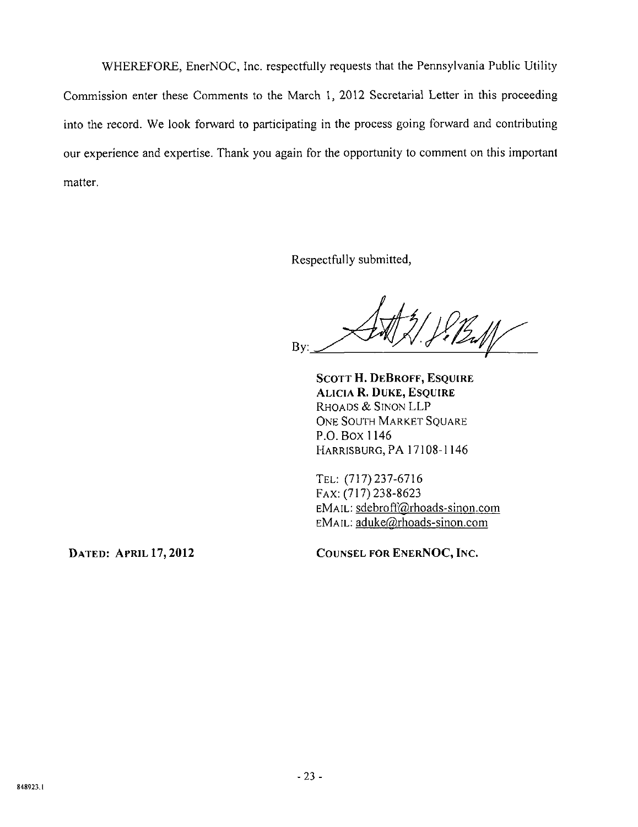WHEREFORE, EnerNOC, Inc. respectfully requests that the Pennsylvania Public Utility Commission enter these Comments to the March 1, 2012 Secretarial Letter in this proceeding into the record. We look forward to participating in the process going forward and contributing our experience and expertise. Thank you again for the opportunity to comment on this important matter.

Respectfully submitted,

 $\sqrt{2}$  $Bv:$ 

**SCOTT H. DEBROFF, ESQUIRE ALICIA R. DUKE, ESQUIRE**  RHOADS & SINON LLP ONE SOUTH MARKET SQUARE P.O.Box 1146 HARRISBURG, PA 17108-1146

TEL: (717)237-6716 FAX: (717)238-8623 EMAIL: sdebroff@rhoads-sinon.com EMAIL: aduke@rhoads-sinon.com

**DATED: APRIL 17,2012** 

**COUNSEL FOR ENERNOC, INC.**